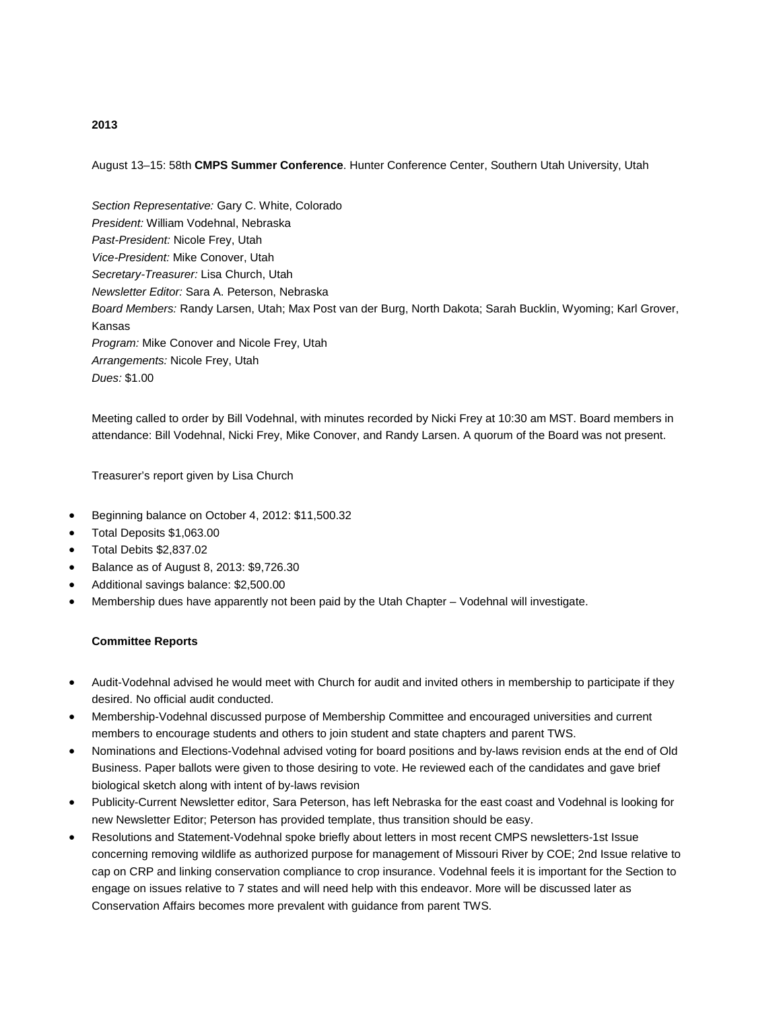# August 13–15: 58th **CMPS Summer Conference**. Hunter Conference Center, Southern Utah University, Utah

*Section Representative:* Gary C. White, Colorado *President:* William Vodehnal, Nebraska *Past-President:* Nicole Frey, Utah *Vice-President:* Mike Conover, Utah *Secretary-Treasurer:* Lisa Church, Utah *Newsletter Editor:* Sara A. Peterson, Nebraska *Board Members:* Randy Larsen, Utah; Max Post van der Burg, North Dakota; Sarah Bucklin, Wyoming; Karl Grover, Kansas *Program:* Mike Conover and Nicole Frey, Utah *Arrangements:* Nicole Frey, Utah *Dues:* \$1.00

Meeting called to order by Bill Vodehnal, with minutes recorded by Nicki Frey at 10:30 am MST. Board members in attendance: Bill Vodehnal, Nicki Frey, Mike Conover, and Randy Larsen. A quorum of the Board was not present.

Treasurer's report given by Lisa Church

- Beginning balance on October 4, 2012: \$11,500.32
- Total Deposits \$1,063.00
- Total Debits \$2,837.02
- Balance as of August 8, 2013: \$9,726.30
- Additional savings balance: \$2,500.00
- Membership dues have apparently not been paid by the Utah Chapter Vodehnal will investigate.

#### **Committee Reports**

- Audit-Vodehnal advised he would meet with Church for audit and invited others in membership to participate if they desired. No official audit conducted.
- Membership-Vodehnal discussed purpose of Membership Committee and encouraged universities and current members to encourage students and others to join student and state chapters and parent TWS.
- Nominations and Elections-Vodehnal advised voting for board positions and by-laws revision ends at the end of Old Business. Paper ballots were given to those desiring to vote. He reviewed each of the candidates and gave brief biological sketch along with intent of by-laws revision
- Publicity-Current Newsletter editor, Sara Peterson, has left Nebraska for the east coast and Vodehnal is looking for new Newsletter Editor; Peterson has provided template, thus transition should be easy.
- Resolutions and Statement-Vodehnal spoke briefly about letters in most recent CMPS newsletters-1st Issue concerning removing wildlife as authorized purpose for management of Missouri River by COE; 2nd Issue relative to cap on CRP and linking conservation compliance to crop insurance. Vodehnal feels it is important for the Section to engage on issues relative to 7 states and will need help with this endeavor. More will be discussed later as Conservation Affairs becomes more prevalent with guidance from parent TWS.

### **2013**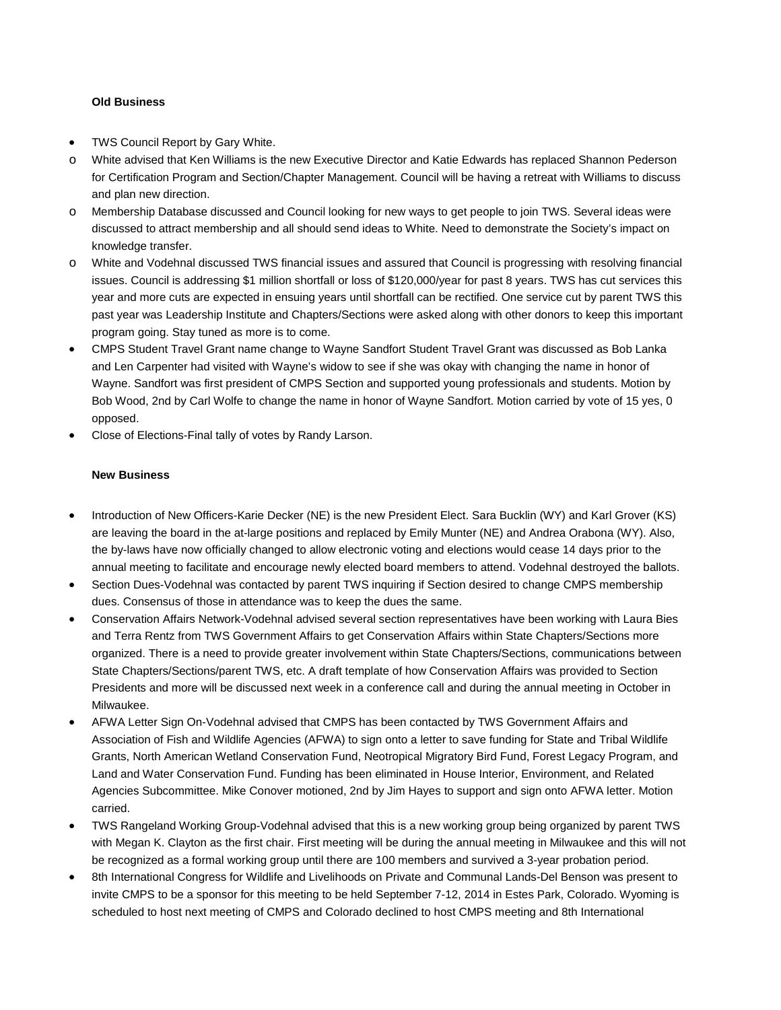### **Old Business**

- TWS Council Report by Gary White.
- o White advised that Ken Williams is the new Executive Director and Katie Edwards has replaced Shannon Pederson for Certification Program and Section/Chapter Management. Council will be having a retreat with Williams to discuss and plan new direction.
- o Membership Database discussed and Council looking for new ways to get people to join TWS. Several ideas were discussed to attract membership and all should send ideas to White. Need to demonstrate the Society's impact on knowledge transfer.
- o White and Vodehnal discussed TWS financial issues and assured that Council is progressing with resolving financial issues. Council is addressing \$1 million shortfall or loss of \$120,000/year for past 8 years. TWS has cut services this year and more cuts are expected in ensuing years until shortfall can be rectified. One service cut by parent TWS this past year was Leadership Institute and Chapters/Sections were asked along with other donors to keep this important program going. Stay tuned as more is to come.
- CMPS Student Travel Grant name change to Wayne Sandfort Student Travel Grant was discussed as Bob Lanka and Len Carpenter had visited with Wayne's widow to see if she was okay with changing the name in honor of Wayne. Sandfort was first president of CMPS Section and supported young professionals and students. Motion by Bob Wood, 2nd by Carl Wolfe to change the name in honor of Wayne Sandfort. Motion carried by vote of 15 yes, 0 opposed.
- Close of Elections-Final tally of votes by Randy Larson.

## **New Business**

- Introduction of New Officers-Karie Decker (NE) is the new President Elect. Sara Bucklin (WY) and Karl Grover (KS) are leaving the board in the at-large positions and replaced by Emily Munter (NE) and Andrea Orabona (WY). Also, the by-laws have now officially changed to allow electronic voting and elections would cease 14 days prior to the annual meeting to facilitate and encourage newly elected board members to attend. Vodehnal destroyed the ballots.
- Section Dues-Vodehnal was contacted by parent TWS inquiring if Section desired to change CMPS membership dues. Consensus of those in attendance was to keep the dues the same.
- Conservation Affairs Network-Vodehnal advised several section representatives have been working with Laura Bies and Terra Rentz from TWS Government Affairs to get Conservation Affairs within State Chapters/Sections more organized. There is a need to provide greater involvement within State Chapters/Sections, communications between State Chapters/Sections/parent TWS, etc. A draft template of how Conservation Affairs was provided to Section Presidents and more will be discussed next week in a conference call and during the annual meeting in October in Milwaukee.
- AFWA Letter Sign On-Vodehnal advised that CMPS has been contacted by TWS Government Affairs and Association of Fish and Wildlife Agencies (AFWA) to sign onto a letter to save funding for State and Tribal Wildlife Grants, North American Wetland Conservation Fund, Neotropical Migratory Bird Fund, Forest Legacy Program, and Land and Water Conservation Fund. Funding has been eliminated in House Interior, Environment, and Related Agencies Subcommittee. Mike Conover motioned, 2nd by Jim Hayes to support and sign onto AFWA letter. Motion carried.
- TWS Rangeland Working Group-Vodehnal advised that this is a new working group being organized by parent TWS with Megan K. Clayton as the first chair. First meeting will be during the annual meeting in Milwaukee and this will not be recognized as a formal working group until there are 100 members and survived a 3-year probation period.
- 8th International Congress for Wildlife and Livelihoods on Private and Communal Lands-Del Benson was present to invite CMPS to be a sponsor for this meeting to be held September 7-12, 2014 in Estes Park, Colorado. Wyoming is scheduled to host next meeting of CMPS and Colorado declined to host CMPS meeting and 8th International